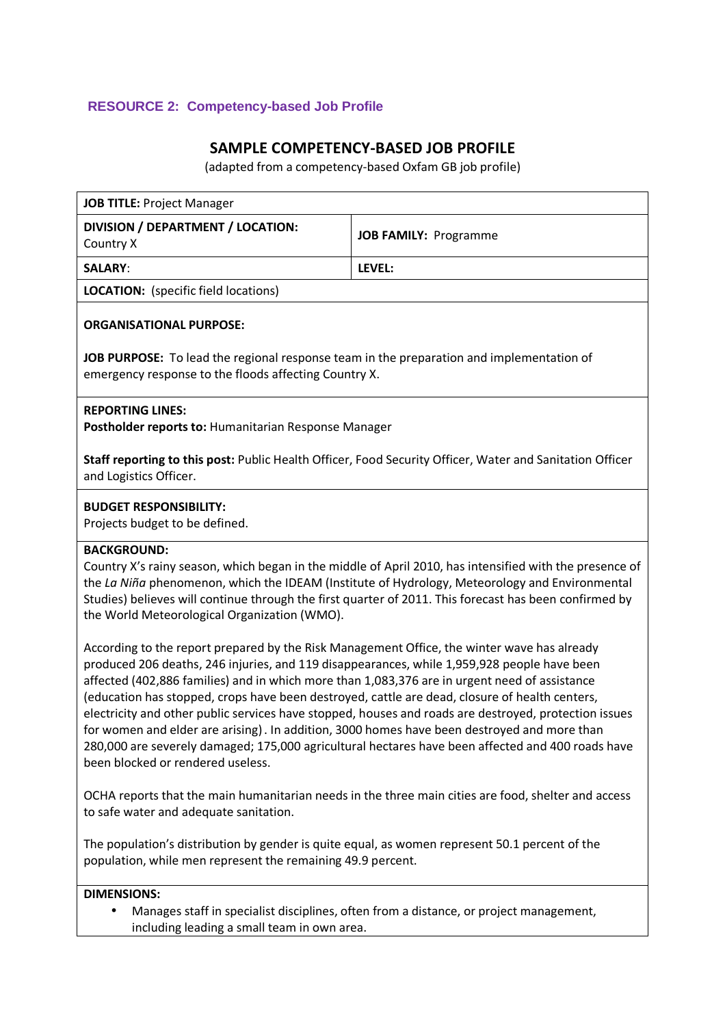# **RESOURCE 2: Competency-based Job Profile**

# SAMPLE COMPETENCY-BASED JOB PROFILE

(adapted from a competency-based Oxfam GB job profile)

| <b>JOB TITLE: Project Manager</b>                                                                                                                                                                                                                                                                                                                                                                                                                                                                                                                                                                                                                                                                                                               |                              |
|-------------------------------------------------------------------------------------------------------------------------------------------------------------------------------------------------------------------------------------------------------------------------------------------------------------------------------------------------------------------------------------------------------------------------------------------------------------------------------------------------------------------------------------------------------------------------------------------------------------------------------------------------------------------------------------------------------------------------------------------------|------------------------------|
| DIVISION / DEPARTMENT / LOCATION:<br>Country X                                                                                                                                                                                                                                                                                                                                                                                                                                                                                                                                                                                                                                                                                                  | <b>JOB FAMILY: Programme</b> |
| <b>SALARY:</b>                                                                                                                                                                                                                                                                                                                                                                                                                                                                                                                                                                                                                                                                                                                                  | <b>LEVEL:</b>                |
| LOCATION: (specific field locations)                                                                                                                                                                                                                                                                                                                                                                                                                                                                                                                                                                                                                                                                                                            |                              |
| <b>ORGANISATIONAL PURPOSE:</b>                                                                                                                                                                                                                                                                                                                                                                                                                                                                                                                                                                                                                                                                                                                  |                              |
| JOB PURPOSE: To lead the regional response team in the preparation and implementation of<br>emergency response to the floods affecting Country X.                                                                                                                                                                                                                                                                                                                                                                                                                                                                                                                                                                                               |                              |
| <b>REPORTING LINES:</b><br>Postholder reports to: Humanitarian Response Manager                                                                                                                                                                                                                                                                                                                                                                                                                                                                                                                                                                                                                                                                 |                              |
| Staff reporting to this post: Public Health Officer, Food Security Officer, Water and Sanitation Officer<br>and Logistics Officer.                                                                                                                                                                                                                                                                                                                                                                                                                                                                                                                                                                                                              |                              |
| <b>BUDGET RESPONSIBILITY:</b><br>Projects budget to be defined.                                                                                                                                                                                                                                                                                                                                                                                                                                                                                                                                                                                                                                                                                 |                              |
| <b>BACKGROUND:</b><br>Country X's rainy season, which began in the middle of April 2010, has intensified with the presence of<br>the La Niña phenomenon, which the IDEAM (Institute of Hydrology, Meteorology and Environmental<br>Studies) believes will continue through the first quarter of 2011. This forecast has been confirmed by<br>the World Meteorological Organization (WMO).                                                                                                                                                                                                                                                                                                                                                       |                              |
| According to the report prepared by the Risk Management Office, the winter wave has already<br>produced 206 deaths, 246 injuries, and 119 disappearances, while 1,959,928 people have been<br>affected (402,886 families) and in which more than 1,083,376 are in urgent need of assistance<br>(education has stopped, crops have been destroyed, cattle are dead, closure of health centers,<br>electricity and other public services have stopped, houses and roads are destroyed, protection issues<br>for women and elder are arising). In addition, 3000 homes have been destroyed and more than<br>280,000 are severely damaged; 175,000 agricultural hectares have been affected and 400 roads have<br>been blocked or rendered useless. |                              |

OCHA reports that the main humanitarian needs in the three main cities are food, shelter and access to safe water and adequate sanitation.

The population's distribution by gender is quite equal, as women represent 50.1 percent of the population, while men represent the remaining 49.9 percent.

### DIMENSIONS:

• Manages staff in specialist disciplines, often from a distance, or project management, including leading a small team in own area.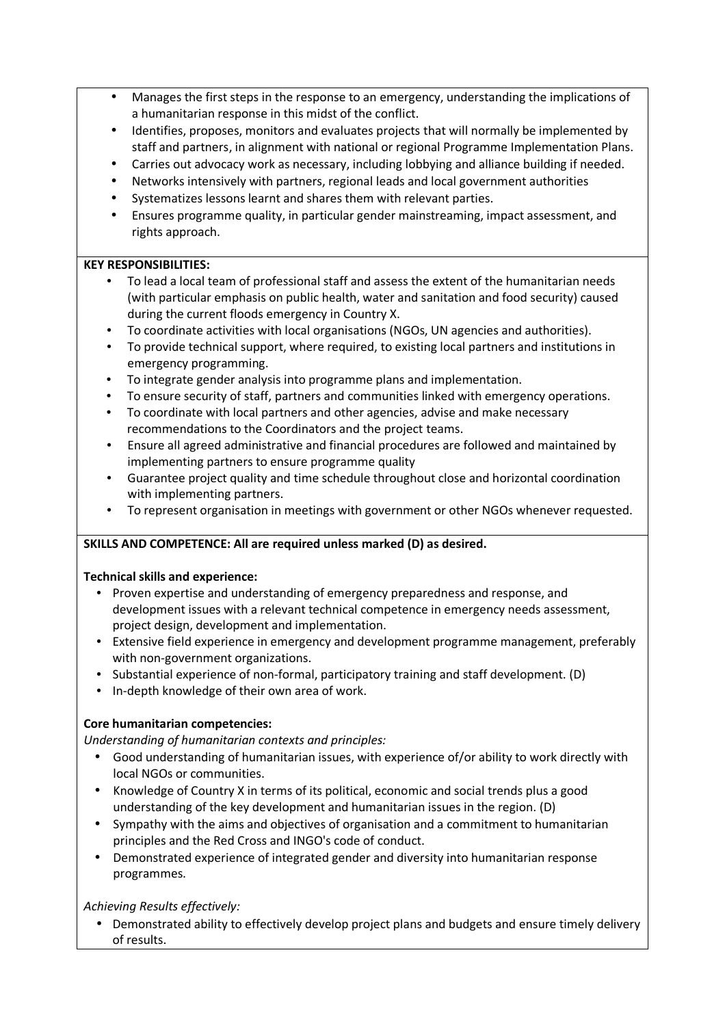- Manages the first steps in the response to an emergency, understanding the implications of a humanitarian response in this midst of the conflict.
- Identifies, proposes, monitors and evaluates projects that will normally be implemented by staff and partners, in alignment with national or regional Programme Implementation Plans.
- Carries out advocacy work as necessary, including lobbying and alliance building if needed.
- Networks intensively with partners, regional leads and local government authorities
- Systematizes lessons learnt and shares them with relevant parties.
- Ensures programme quality, in particular gender mainstreaming, impact assessment, and rights approach.

# KEY RESPONSIBILITIES:

- To lead a local team of professional staff and assess the extent of the humanitarian needs (with particular emphasis on public health, water and sanitation and food security) caused during the current floods emergency in Country X.
- To coordinate activities with local organisations (NGOs, UN agencies and authorities).
- To provide technical support, where required, to existing local partners and institutions in emergency programming.
- To integrate gender analysis into programme plans and implementation.
- To ensure security of staff, partners and communities linked with emergency operations.
- To coordinate with local partners and other agencies, advise and make necessary recommendations to the Coordinators and the project teams.
- Ensure all agreed administrative and financial procedures are followed and maintained by implementing partners to ensure programme quality
- Guarantee project quality and time schedule throughout close and horizontal coordination with implementing partners.
- To represent organisation in meetings with government or other NGOs whenever requested.

# SKILLS AND COMPETENCE: All are required unless marked (D) as desired.

### Technical skills and experience:

- Proven expertise and understanding of emergency preparedness and response, and development issues with a relevant technical competence in emergency needs assessment, project design, development and implementation.
- Extensive field experience in emergency and development programme management, preferably with non-government organizations.
- Substantial experience of non-formal, participatory training and staff development. (D)
- In-depth knowledge of their own area of work.

### Core humanitarian competencies:

Understanding of humanitarian contexts and principles:

- Good understanding of humanitarian issues, with experience of/or ability to work directly with local NGOs or communities.
- Knowledge of Country X in terms of its political, economic and social trends plus a good understanding of the key development and humanitarian issues in the region. (D)
- Sympathy with the aims and objectives of organisation and a commitment to humanitarian principles and the Red Cross and INGO's code of conduct.
- Demonstrated experience of integrated gender and diversity into humanitarian response programmes.

# Achieving Results effectively:

• Demonstrated ability to effectively develop project plans and budgets and ensure timely delivery of results.